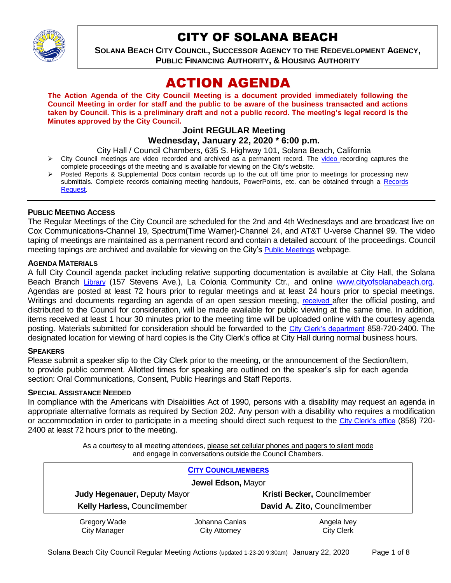

## CITY OF SOLANA BEACH

**SOLANA BEACH CITY COUNCIL, SUCCESSOR AGENCY TO THE REDEVELOPMENT AGENCY, PUBLIC FINANCING AUTHORITY, & HOUSING AUTHORITY** 

# ACTION AGENDA

**The Action Agenda of the City Council Meeting is a document provided immediately following the Council Meeting in order for staff and the public to be aware of the business transacted and actions taken by Council. This is a preliminary draft and not a public record. The meeting's legal record is the Minutes approved by the City Council.**

#### **Joint REGULAR Meeting Wednesday, January 22, 2020 \* 6:00 p.m.**

City Hall / Council Chambers, 635 S. Highway 101, Solana Beach, California

- $\triangleright$  City Council meetings are [video r](https://solanabeach.12milesout.com/#page=1)ecorded and archived as a permanent record. The video recording captures the complete proceedings of the meeting and is available for viewing on the City's website.
- Posted Reports & Supplemental Docs contain records up to the cut off time prior to meetings for processing new submittals. Complete records containing meeting handouts, PowerPoints, etc. can be obtained through a Records [Request.](http://www.ci.solana-beach.ca.us/index.asp?SEC=F5D45D10-70CE-4291-A27C-7BD633FC6742&Type=B_BASIC)

## **PUBLIC MEETING ACCESS**

The Regular Meetings of the City Council are scheduled for the 2nd and 4th Wednesdays and are broadcast live on Cox Communications-Channel 19, Spectrum(Time Warner)-Channel 24, and AT&T U-verse Channel 99. The video taping of meetings are maintained as a permanent record and contain a detailed account of the proceedings. Council meeting tapings are archived and available for viewing on the City's [Public Meetings](https://www.ci.solana-beach.ca.us/index.asp?SEC=F0F1200D-21C6-4A88-8AE1-0BC07C1A81A7&Type=B_BASIC) webpage.

#### **AGENDA MATERIALS**

A full City Council agenda packet including relative supporting documentation is available at City Hall, the Solana Beach Branch [Library](http://www.sdcl.org/locations_SB.html) (157 Stevens Ave.), La Colonia Community Ctr., and online [www.cityofsolanabeach.org.](http://www.cityofsolanabeach.org/) Agendas are posted at least 72 hours prior to regular meetings and at least 24 hours prior to special meetings. Writings and documents regarding an agenda of an open session meeting, [received](mailto:EMAILGRP-CityClerksOfc@cosb.org) after the official posting, and distributed to the Council for consideration, will be made available for public viewing at the same time. In addition, items received at least 1 hour 30 minutes prior to the meeting time will be uploaded online with the courtesy agenda posting. Materials submitted for consideration should be forwarded to the [City Clerk's department](mailto:EMAILGRP-CityClerksOfc@cosb.org) 858-720-2400. The designated location for viewing of hard copies is the City Clerk's office at City Hall during normal business hours.

#### **SPEAKERS**

Please submit a speaker slip to the City Clerk prior to the meeting, or the announcement of the Section/Item, to provide public comment. Allotted times for speaking are outlined on the speaker's slip for each agenda section: Oral Communications, Consent, Public Hearings and Staff Reports.

#### **SPECIAL ASSISTANCE NEEDED**

In compliance with the Americans with Disabilities Act of 1990, persons with a disability may request an agenda in appropriate alternative formats as required by Section 202. Any person with a disability who requires a modification or accommodation in order to participate in a meeting should direct such request to the [City Clerk's office](mailto:clerkadmin@cosb.org?subject=City%20Clerk%20Notice%20of%20Special%20Services%20Needed) (858) 720-2400 at least 72 hours prior to the meeting.

> As a courtesy to all meeting attendees, please set cellular phones and pagers to silent mode and engage in conversations outside the Council Chambers.

| <b>CITY COUNCILMEMBERS</b>          |                                        |                                  |
|-------------------------------------|----------------------------------------|----------------------------------|
| Jewel Edson, Mayor                  |                                        |                                  |
| <b>Judy Hegenauer, Deputy Mayor</b> |                                        | Kristi Becker, Councilmember     |
| Kelly Harless, Councilmember        |                                        | David A. Zito, Councilmember     |
| Gregory Wade<br><b>City Manager</b> | Johanna Canlas<br><b>City Attorney</b> | Angela Ivey<br><b>City Clerk</b> |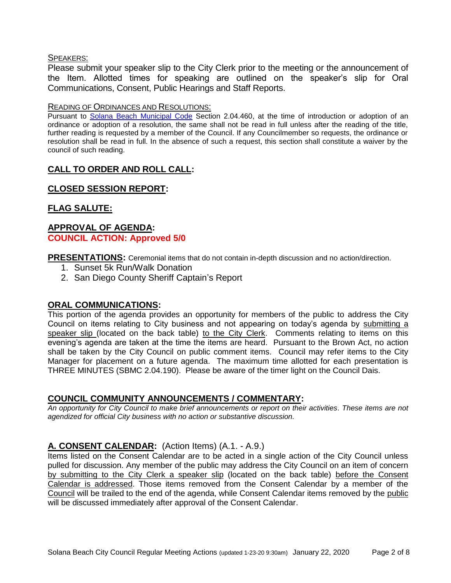#### SPEAKERS:

Please submit your speaker slip to the City Clerk prior to the meeting or the announcement of the Item. Allotted times for speaking are outlined on the speaker's slip for Oral Communications, Consent, Public Hearings and Staff Reports.

#### READING OF ORDINANCES AND RESOLUTIONS:

Pursuant to [Solana Beach Municipal Code](mailto:https://www.codepublishing.com/CA/SolanaBeach/) Section 2.04.460, at the time of introduction or adoption of an ordinance or adoption of a resolution, the same shall not be read in full unless after the reading of the title, further reading is requested by a member of the Council. If any Councilmember so requests, the ordinance or resolution shall be read in full. In the absence of such a request, this section shall constitute a waiver by the council of such reading.

## **CALL TO ORDER AND ROLL CALL:**

## **CLOSED SESSION REPORT:**

## **FLAG SALUTE:**

## **APPROVAL OF AGENDA: COUNCIL ACTION: Approved 5/0**

**PRESENTATIONS:** Ceremonial items that do not contain in-depth discussion and no action/direction.

- 1. Sunset 5k Run/Walk Donation
- 2. San Diego County Sheriff Captain's Report

#### **ORAL COMMUNICATIONS:**

This portion of the agenda provides an opportunity for members of the public to address the City Council on items relating to City business and not appearing on today's agenda by submitting a speaker slip (located on the back table) to the City Clerk. Comments relating to items on this evening's agenda are taken at the time the items are heard. Pursuant to the Brown Act, no action shall be taken by the City Council on public comment items. Council may refer items to the City Manager for placement on a future agenda. The maximum time allotted for each presentation is THREE MINUTES (SBMC 2.04.190). Please be aware of the timer light on the Council Dais.

#### **COUNCIL COMMUNITY ANNOUNCEMENTS / COMMENTARY:**

*An opportunity for City Council to make brief announcements or report on their activities. These items are not agendized for official City business with no action or substantive discussion.* 

## **A. CONSENT CALENDAR:** (Action Items) (A.1. - A.9.)

Items listed on the Consent Calendar are to be acted in a single action of the City Council unless pulled for discussion. Any member of the public may address the City Council on an item of concern by submitting to the City Clerk a speaker slip (located on the back table) before the Consent Calendar is addressed. Those items removed from the Consent Calendar by a member of the Council will be trailed to the end of the agenda, while Consent Calendar items removed by the public will be discussed immediately after approval of the Consent Calendar.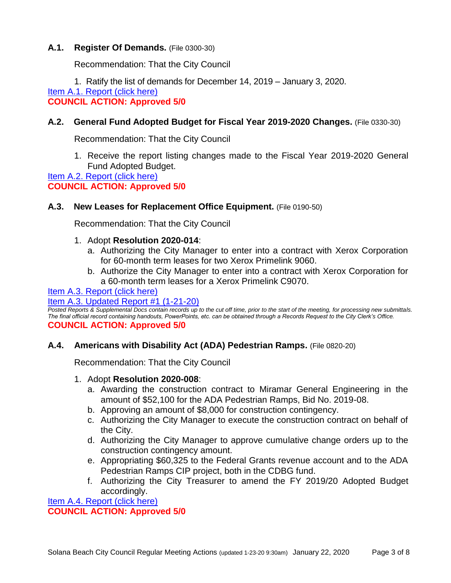## **A.1. Register Of Demands.** (File 0300-30)

Recommendation: That the City Council

1. Ratify the list of demands for December 14, 2019 – January 3, 2020.

[Item A.1. Report \(click here\)](https://solanabeach.govoffice3.com/vertical/Sites/%7B840804C2-F869-4904-9AE3-720581350CE7%7D/uploads/Item_A.1._Report_(click_here)_01-22-20_-_O.pdf) 

## **COUNCIL ACTION: Approved 5/0**

## **A.2. General Fund Adopted Budget for Fiscal Year 2019-2020 Changes.** (File 0330-30)

Recommendation: That the City Council

1. Receive the report listing changes made to the Fiscal Year 2019-2020 General Fund Adopted Budget.

Item A.2. Report (click here) **COUNCIL ACTION: Approved 5/0**

## **A.3. New Leases for Replacement Office Equipment.** (File 0190-50)

Recommendation: That the City Council

- 1. Adopt **Resolution 2020-014**:
	- a. Authorizing the City Manager to enter into a contract with Xerox Corporation for 60-month term leases for two Xerox Primelink 9060.
	- b. Authorize the City Manager to enter into a contract with Xerox Corporation for a 60-month term leases for a Xerox Primelink C9070.

## [Item A.3. Report \(click here\)](https://solanabeach.govoffice3.com/vertical/Sites/%7B840804C2-F869-4904-9AE3-720581350CE7%7D/uploads/Item_A.3._Report_(click_here)_01-22-20_-_O.pdf)

#### [Item A.3. Updated Report #1 \(1-21-20\)](https://solanabeach.govoffice3.com/vertical/Sites/%7B840804C2-F869-4904-9AE3-720581350CE7%7D/uploads/Item_A.3._Updated_Report_1_(Upd._1-21).pdf)

*Posted Reports & Supplemental Docs contain records up to the cut off time, prior to the start of the meeting, for processing new submittals. The final official record containing handouts, PowerPoints, etc. can be obtained through a Records Request to the City Clerk's Office.* **COUNCIL ACTION: Approved 5/0**

#### **A.4. Americans with Disability Act (ADA) Pedestrian Ramps.** (File 0820-20)

Recommendation: That the City Council

#### 1. Adopt **Resolution 2020-008**:

- a. Awarding the construction contract to Miramar General Engineering in the amount of \$52,100 for the ADA Pedestrian Ramps, Bid No. 2019-08.
- b. Approving an amount of \$8,000 for construction contingency.
- c. Authorizing the City Manager to execute the construction contract on behalf of the City.
- d. Authorizing the City Manager to approve cumulative change orders up to the construction contingency amount.
- e. Appropriating \$60,325 to the Federal Grants revenue account and to the ADA Pedestrian Ramps CIP project, both in the CDBG fund.
- f. Authorizing the City Treasurer to amend the FY 2019/20 Adopted Budget accordingly.

[Item A.4. Report \(click here\)](https://solanabeach.govoffice3.com/vertical/Sites/%7B840804C2-F869-4904-9AE3-720581350CE7%7D/uploads/Item_A.4._Report_(click_here)_01-22-20_-_O.pdf)  **COUNCIL ACTION: Approved 5/0**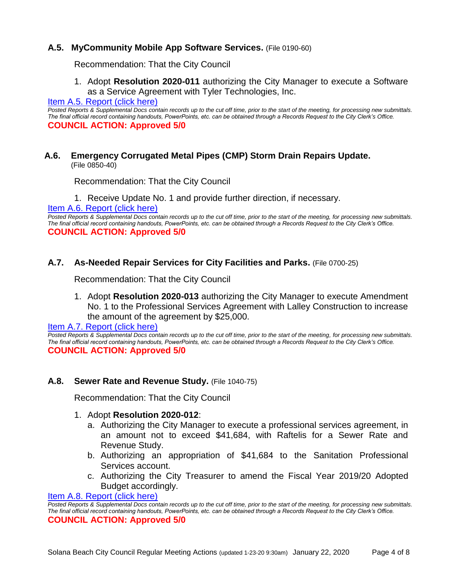## **A.5. MyCommunity Mobile App Software Services.** (File 0190-60)

Recommendation: That the City Council

1. Adopt **Resolution 2020-011** authorizing the City Manager to execute a Software as a Service Agreement with Tyler Technologies, Inc.

[Item A.5. Report \(click here\)](https://solanabeach.govoffice3.com/vertical/Sites/%7B840804C2-F869-4904-9AE3-720581350CE7%7D/uploads/Item_A.5._Report_(click_here)_01-22-20_-_O.pdf) 

*Posted Reports & Supplemental Docs contain records up to the cut off time, prior to the start of the meeting, for processing new submittals. The final official record containing handouts, PowerPoints, etc. can be obtained through a Records Request to the City Clerk's Office.* **COUNCIL ACTION: Approved 5/0**

#### **A.6. Emergency Corrugated Metal Pipes (CMP) Storm Drain Repairs Update.** (File 0850-40)

Recommendation: That the City Council

1. Receive Update No. 1 and provide further direction, if necessary.

[Item A.6. Report \(click here\)](https://solanabeach.govoffice3.com/vertical/Sites/%7B840804C2-F869-4904-9AE3-720581350CE7%7D/uploads/Item_A.6._Report_(click_here)_01-22-20_-_O.pdf) 

Posted Reports & Supplemental Docs contain records up to the cut off time, prior to the start of the meeting, for processing new submittals. *The final official record containing handouts, PowerPoints, etc. can be obtained through a Records Request to the City Clerk's Office.* **COUNCIL ACTION: Approved 5/0**

#### **A.7. As-Needed Repair Services for City Facilities and Parks.** (File 0700-25)

Recommendation: That the City Council

1. Adopt **Resolution 2020-013** authorizing the City Manager to execute Amendment No. 1 to the Professional Services Agreement with Lalley Construction to increase the amount of the agreement by \$25,000.

**Item A.7. Report (click here)** 

*Posted Reports & Supplemental Docs contain records up to the cut off time, prior to the start of the meeting, for processing new submittals. The final official record containing handouts, PowerPoints, etc. can be obtained through a Records Request to the City Clerk's Office.* **COUNCIL ACTION: Approved 5/0**

#### **A.8. Sewer Rate and Revenue Study.** (File 1040-75)

Recommendation: That the City Council

#### 1. Adopt **Resolution 2020-012**:

- a. Authorizing the City Manager to execute a professional services agreement, in an amount not to exceed \$41,684, with Raftelis for a Sewer Rate and Revenue Study.
- b. Authorizing an appropriation of \$41,684 to the Sanitation Professional Services account.
- c. Authorizing the City Treasurer to amend the Fiscal Year 2019/20 Adopted Budget accordingly.

[Item A.8. Report \(click here\)](https://solanabeach.govoffice3.com/vertical/Sites/%7B840804C2-F869-4904-9AE3-720581350CE7%7D/uploads/Item_A.8._Report_(click_here)_01-22-20_-_O.pdf) 

*Posted Reports & Supplemental Docs contain records up to the cut off time, prior to the start of the meeting, for processing new submittals. The final official record containing handouts, PowerPoints, etc. can be obtained through a Records Request to the City Clerk's Office.* **COUNCIL ACTION: Approved 5/0**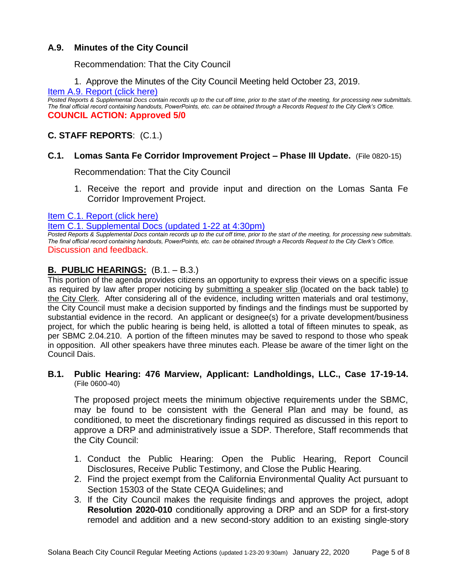## **A.9. Minutes of the City Council**

Recommendation: That the City Council

1. Approve the Minutes of the City Council Meeting held October 23, 2019.

#### [Item A.9. Report \(click here\)](https://solanabeach.govoffice3.com/vertical/Sites/%7B840804C2-F869-4904-9AE3-720581350CE7%7D/uploads/Item_A.9._Report_(click_here)_01-22-20_-_O.pdf)

*Posted Reports & Supplemental Docs contain records up to the cut off time, prior to the start of the meeting, for processing new submittals. The final official record containing handouts, PowerPoints, etc. can be obtained through a Records Request to the City Clerk's Office.* **COUNCIL ACTION: Approved 5/0**

## **C. STAFF REPORTS**: (C.1.)

## **C.1. Lomas Santa Fe Corridor Improvement Project – Phase III Update.** (File 0820-15)

Recommendation: That the City Council

1. Receive the report and provide input and direction on the Lomas Santa Fe Corridor Improvement Project.

[Item C.1. Report \(click here\)](https://solanabeach.govoffice3.com/vertical/Sites/%7B840804C2-F869-4904-9AE3-720581350CE7%7D/uploads/Item_C.1._Report_(click_here)_01-22-20_-_O.pdf) 

[Item C.1. Supplemental Docs \(updated 1-22 at 4:30pm\)](https://solanabeach.govoffice3.com/vertical/Sites/%7B840804C2-F869-4904-9AE3-720581350CE7%7D/uploads/Item_C.1._Supplemental_Docs_(Upd._1-22_at_420pm)_-_O.pdf)

*Posted Reports & Supplemental Docs contain records up to the cut off time, prior to the start of the meeting, for processing new submittals. The final official record containing handouts, PowerPoints, etc. can be obtained through a Records Request to the City Clerk's Office.* Discussion and feedback.

## **B. PUBLIC HEARINGS:** (B.1. – B.3.)

This portion of the agenda provides citizens an opportunity to express their views on a specific issue as required by law after proper noticing by submitting a speaker slip (located on the back table) to the City Clerk. After considering all of the evidence, including written materials and oral testimony, the City Council must make a decision supported by findings and the findings must be supported by substantial evidence in the record. An applicant or designee(s) for a private development/business project, for which the public hearing is being held, is allotted a total of fifteen minutes to speak, as per SBMC 2.04.210. A portion of the fifteen minutes may be saved to respond to those who speak in opposition. All other speakers have three minutes each. Please be aware of the timer light on the Council Dais.

#### **B.1. Public Hearing: 476 Marview, Applicant: Landholdings, LLC., Case 17-19-14.** (File 0600-40)

The proposed project meets the minimum objective requirements under the SBMC, may be found to be consistent with the General Plan and may be found, as conditioned, to meet the discretionary findings required as discussed in this report to approve a DRP and administratively issue a SDP. Therefore, Staff recommends that the City Council:

- 1. Conduct the Public Hearing: Open the Public Hearing, Report Council Disclosures, Receive Public Testimony, and Close the Public Hearing.
- 2. Find the project exempt from the California Environmental Quality Act pursuant to Section 15303 of the State CEQA Guidelines; and
- 3. If the City Council makes the requisite findings and approves the project, adopt **Resolution 2020-010** conditionally approving a DRP and an SDP for a first-story remodel and addition and a new second-story addition to an existing single-story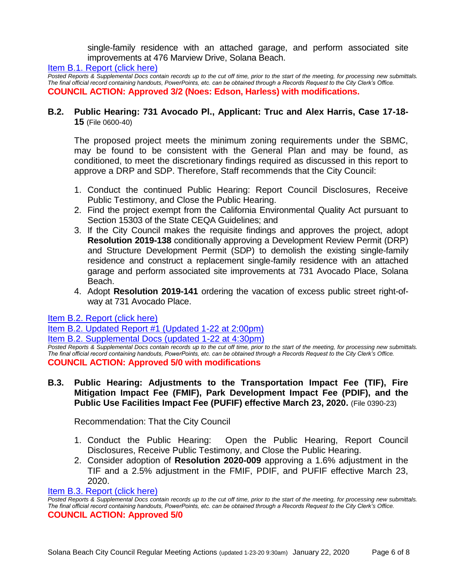single-family residence with an attached garage, and perform associated site improvements at 476 Marview Drive, Solana Beach.

[Item B.1. Report \(click here\)](https://solanabeach.govoffice3.com/vertical/Sites/%7B840804C2-F869-4904-9AE3-720581350CE7%7D/uploads/Item_B.1._Report_(click_here)_01-22-20_-_O.pdf) 

*Posted Reports & Supplemental Docs contain records up to the cut off time, prior to the start of the meeting, for processing new submittals. The final official record containing handouts, PowerPoints, etc. can be obtained through a Records Request to the City Clerk's Office.* **COUNCIL ACTION: Approved 3/2 (Noes: Edson, Harless) with modifications.**

#### **B.2. Public Hearing: 731 Avocado Pl., Applicant: Truc and Alex Harris, Case 17-18- 15** (File 0600-40)

The proposed project meets the minimum zoning requirements under the SBMC, may be found to be consistent with the General Plan and may be found, as conditioned, to meet the discretionary findings required as discussed in this report to approve a DRP and SDP. Therefore, Staff recommends that the City Council:

- 1. Conduct the continued Public Hearing: Report Council Disclosures, Receive Public Testimony, and Close the Public Hearing.
- 2. Find the project exempt from the California Environmental Quality Act pursuant to Section 15303 of the State CEQA Guidelines; and
- 3. If the City Council makes the requisite findings and approves the project, adopt **Resolution 2019-138** conditionally approving a Development Review Permit (DRP) and Structure Development Permit (SDP) to demolish the existing single-family residence and construct a replacement single-family residence with an attached garage and perform associated site improvements at 731 Avocado Place, Solana Beach.
- 4. Adopt **Resolution 2019-141** ordering the vacation of excess public street right-ofway at 731 Avocado Place.

[Item B.2. Report \(click here\)](https://solanabeach.govoffice3.com/vertical/Sites/%7B840804C2-F869-4904-9AE3-720581350CE7%7D/uploads/Item_B.2._Report_(click_here)_01-22-20_-_O.pdf) 

[Item B.2. Updated Report #1 \(Updated 1-22 at 2:00pm\)](https://solanabeach.govoffice3.com/vertical/Sites/%7B840804C2-F869-4904-9AE3-720581350CE7%7D/uploads/Item_B.2._Updated_Report_1_(updated_1-22)_-_O.pdf)

[Item B.2. Supplemental Docs \(updated 1-22 at 4:30pm\)](https://solanabeach.govoffice3.com/vertical/Sites/%7B840804C2-F869-4904-9AE3-720581350CE7%7D/uploads/Item_B.2._Supplemental_Docs_(1-22_at_415pm)_-_O.pdf)

*Posted Reports & Supplemental Docs contain records up to the cut off time, prior to the start of the meeting, for processing new submittals. The final official record containing handouts, PowerPoints, etc. can be obtained through a Records Request to the City Clerk's Office.* **COUNCIL ACTION: Approved 5/0 with modifications**

## **B.3. Public Hearing: Adjustments to the Transportation Impact Fee (TIF), Fire Mitigation Impact Fee (FMIF), Park Development Impact Fee (PDIF), and the Public Use Facilities Impact Fee (PUFIF) effective March 23, 2020.** (File 0390-23)

Recommendation: That the City Council

- 1. Conduct the Public Hearing: Open the Public Hearing, Report Council Disclosures, Receive Public Testimony, and Close the Public Hearing.
- 2. Consider adoption of **Resolution 2020-009** approving a 1.6% adjustment in the TIF and a 2.5% adjustment in the FMIF, PDIF, and PUFIF effective March 23, 2020.

#### [Item B.3. Report \(click here\)](https://solanabeach.govoffice3.com/vertical/Sites/%7B840804C2-F869-4904-9AE3-720581350CE7%7D/uploads/Item_B.3._Report_(click_here)_01-22-20_-_O.pdf)

*Posted Reports & Supplemental Docs contain records up to the cut off time, prior to the start of the meeting, for processing new submittals. The final official record containing handouts, PowerPoints, etc. can be obtained through a Records Request to the City Clerk's Office.* **COUNCIL ACTION: Approved 5/0**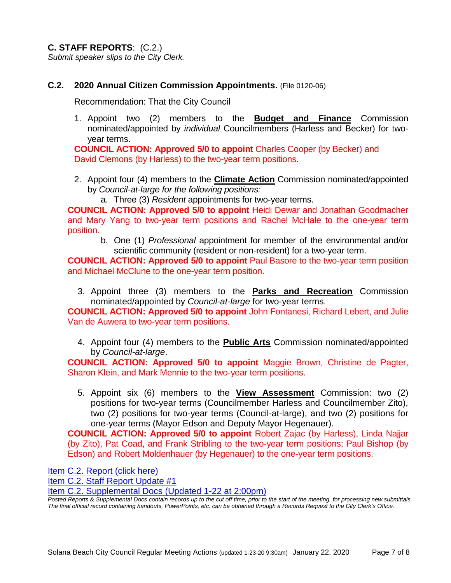**C. STAFF REPORTS**: (C.2.) *Submit speaker slips to the City Clerk.*

## **C.2. 2020 Annual Citizen Commission Appointments.** (File 0120-06)

Recommendation: That the City Council

1. Appoint two (2) members to the **Budget and Finance** Commission nominated/appointed by *individual* Councilmembers (Harless and Becker) for twoyear terms.

**COUNCIL ACTION: Approved 5/0 to appoint** Charles Cooper (by Becker) and David Clemons (by Harless) to the two-year term positions.

- 2. Appoint four (4) members to the **Climate Action** Commission nominated/appointed by *Council-at-large for the following positions:*
	- a. Three (3) *Resident* appointments for two-year terms.

**COUNCIL ACTION: Approved 5/0 to appoint** Heidi Dewar and Jonathan Goodmacher and Mary Yang to two-year term positions and Rachel McHale to the one-year term position.

b. One (1) *Professional* appointment for member of the environmental and/or scientific community (resident or non-resident) for a two-year term.

**COUNCIL ACTION: Approved 5/0 to appoint** Paul Basore to the two-year term position and Michael McClune to the one-year term position.

3. Appoint three (3) members to the **Parks and Recreation** Commission nominated/appointed by *Council-at-large* for two-year terms.

**COUNCIL ACTION: Approved 5/0 to appoint** John Fontanesi, Richard Lebert, and Julie Van de Auwera to two-year term positions.

4. Appoint four (4) members to the **Public Arts** Commission nominated/appointed by *Council-at-large*.

**COUNCIL ACTION: Approved 5/0 to appoint** Maggie Brown, Christine de Pagter, Sharon Klein, and Mark Mennie to the two-year term positions.

5. Appoint six (6) members to the **View Assessment** Commission: two (2) positions for two-year terms (Councilmember Harless and Councilmember Zito), two (2) positions for two-year terms (Council-at-large), and two (2) positions for one-year terms (Mayor Edson and Deputy Mayor Hegenauer).

**COUNCIL ACTION: Approved 5/0 to appoint** Robert Zajac (by Harless), Linda Najjar (by Zito), Pat Coad, and Frank Stribling to the two-year term positions; Paul Bishop (by Edson) and Robert Moldenhauer (by Hegenauer) to the one-year term positions.

[Item C.2. Report \(click here\)](https://solanabeach.govoffice3.com/vertical/Sites/%7B840804C2-F869-4904-9AE3-720581350CE7%7D/uploads/Item_C.2._Report_(click_here)_01-22-20_-_O.pdf) 

Item C.2. [Staff Report Update #1](https://solanabeach.govoffice3.com/vertical/Sites/%7B840804C2-F869-4904-9AE3-720581350CE7%7D/uploads/Item_C.2._SR_Update_1_-_Citiz_Commission_vacancies_-_O.pdf)

[Item C.2. Supplemental Docs \(Updated 1-22 at 2:00pm\)](https://solanabeach.govoffice3.com/vertical/Sites/%7B840804C2-F869-4904-9AE3-720581350CE7%7D/uploads/Item_C.2._Supplemental_Docs_(upd._1-22_at_11am).pdf)

*Posted Reports & Supplemental Docs contain records up to the cut off time, prior to the start of the meeting, for processing new submittals. The final official record containing handouts, PowerPoints, etc. can be obtained through a Records Request to the City Clerk's Office.*